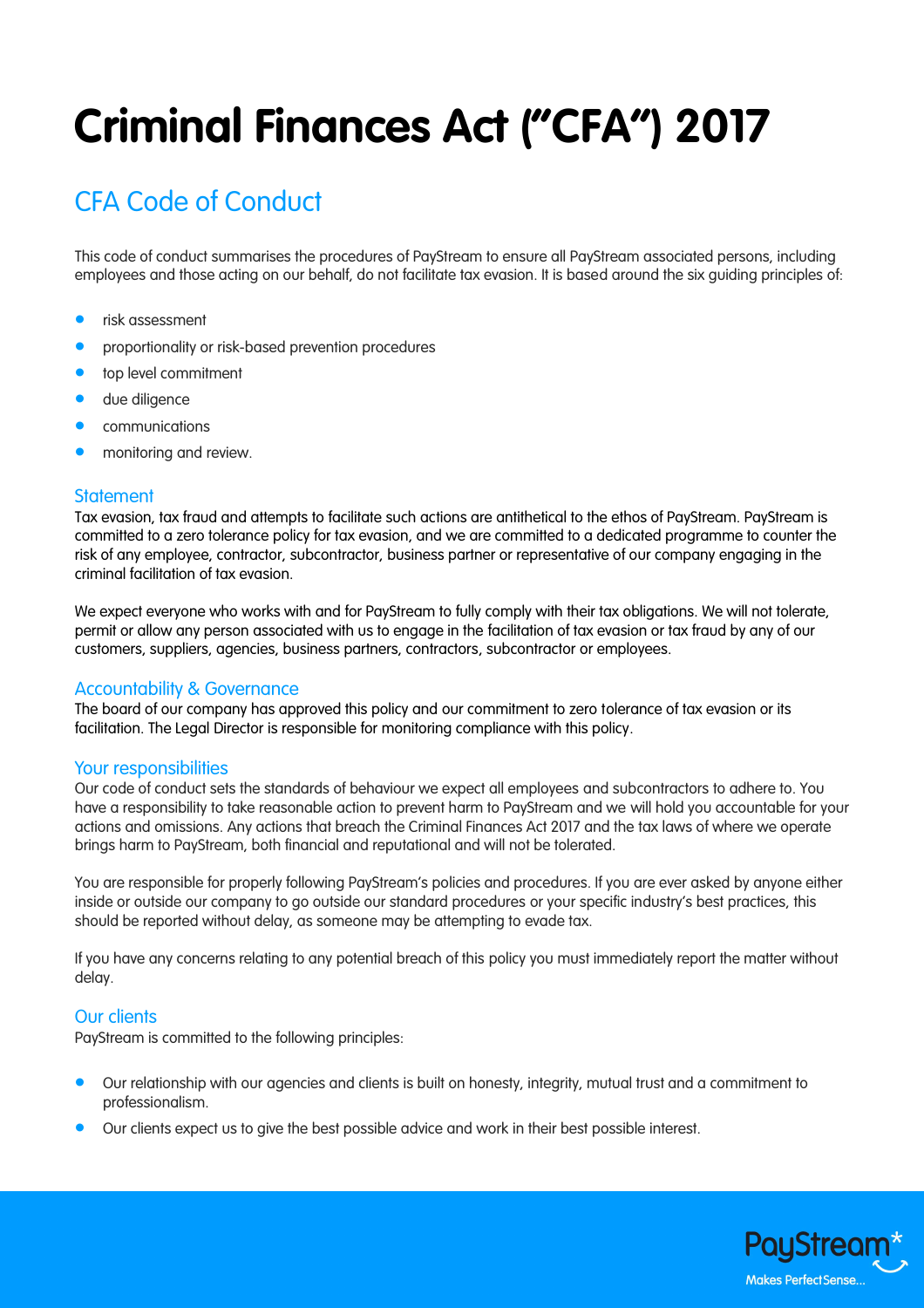# **Criminal Finances Act ("CFA") 2017**

# CFA Code of Conduct

This code of conduct summarises the procedures of PayStream to ensure all PayStream associated persons, including employees and those acting on our behalf, do not facilitate tax evasion. It is based around the six guiding principles of:

- risk assessment
- proportionality or risk-based prevention procedures
- top level commitment
- due diligence
- communications
- monitoring and review.

#### **Statement**

Tax evasion, tax fraud and attempts to facilitate such actions are antithetical to the ethos of PayStream. PayStream is committed to a zero tolerance policy for tax evasion, and we are committed to a dedicated programme to counter the risk of any employee, contractor, subcontractor, business partner or representative of our company engaging in the criminal facilitation of tax evasion.

We expect everyone who works with and for PayStream to fully comply with their tax obligations. We will not tolerate, permit or allow any person associated with us to engage in the facilitation of tax evasion or tax fraud by any of our customers, suppliers, agencies, business partners, contractors, subcontractor or employees.

#### Accountability & Governance

The board of our company has approved this policy and our commitment to zero tolerance of tax evasion or its facilitation. The Legal Director is responsible for monitoring compliance with this policy.

#### Your responsibilities

Our code of conduct sets the standards of behaviour we expect all employees and subcontractors to adhere to. You have a responsibility to take reasonable action to prevent harm to PayStream and we will hold you accountable for your actions and omissions. Any actions that breach the Criminal Finances Act 2017 and the tax laws of where we operate brings harm to PayStream, both financial and reputational and will not be tolerated.

You are responsible for properly following PayStream's policies and procedures. If you are ever asked by anyone either inside or outside our company to go outside our standard procedures or your specific industry's best practices, this should be reported without delay, as someone may be attempting to evade tax.

If you have any concerns relating to any potential breach of this policy you must immediately report the matter without delay.

#### Our clients

PayStream is committed to the following principles:

- Our relationship with our agencies and clients is built on honesty, integrity, mutual trust and a commitment to professionalism.
- Our clients expect us to give the best possible advice and work in their best possible interest.